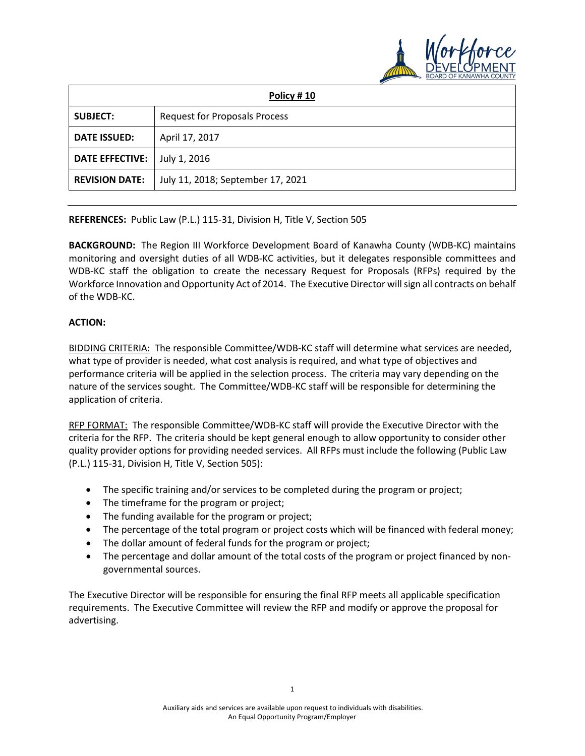

| Policy #10             |                                      |
|------------------------|--------------------------------------|
| <b>SUBJECT:</b>        | <b>Request for Proposals Process</b> |
| <b>DATE ISSUED:</b>    | April 17, 2017                       |
| <b>DATE EFFECTIVE:</b> | July 1, 2016                         |
| <b>REVISION DATE:</b>  | July 11, 2018; September 17, 2021    |

**REFERENCES:** Public Law (P.L.) 115-31, Division H, Title V, Section 505

**BACKGROUND:** The Region III Workforce Development Board of Kanawha County (WDB-KC) maintains monitoring and oversight duties of all WDB-KC activities, but it delegates responsible committees and WDB-KC staff the obligation to create the necessary Request for Proposals (RFPs) required by the Workforce Innovation and Opportunity Act of 2014. The Executive Director will sign all contracts on behalf of the WDB-KC.

## **ACTION:**

BIDDING CRITERIA: The responsible Committee/WDB-KC staff will determine what services are needed, what type of provider is needed, what cost analysis is required, and what type of objectives and performance criteria will be applied in the selection process. The criteria may vary depending on the nature of the services sought. The Committee/WDB-KC staff will be responsible for determining the application of criteria.

RFP FORMAT: The responsible Committee/WDB-KC staff will provide the Executive Director with the criteria for the RFP. The criteria should be kept general enough to allow opportunity to consider other quality provider options for providing needed services. All RFPs must include the following (Public Law (P.L.) 115-31, Division H, Title V, Section 505):

- The specific training and/or services to be completed during the program or project;
- The timeframe for the program or project;
- The funding available for the program or project;
- The percentage of the total program or project costs which will be financed with federal money;
- The dollar amount of federal funds for the program or project;
- The percentage and dollar amount of the total costs of the program or project financed by nongovernmental sources.

The Executive Director will be responsible for ensuring the final RFP meets all applicable specification requirements. The Executive Committee will review the RFP and modify or approve the proposal for advertising.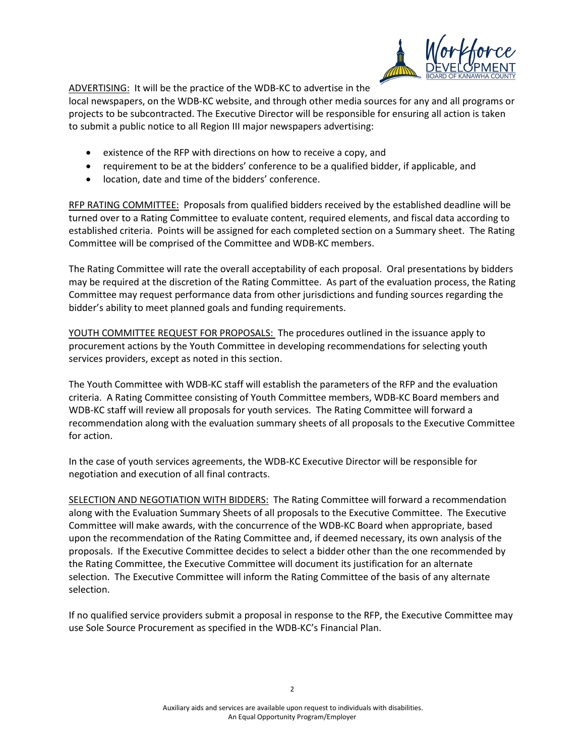

ADVERTISING: It will be the practice of the WDB-KC to advertise in the

local newspapers, on the WDB-KC website, and through other media sources for any and all programs or projects to be subcontracted. The Executive Director will be responsible for ensuring all action is taken to submit a public notice to all Region III major newspapers advertising:

- existence of the RFP with directions on how to receive a copy, and
- requirement to be at the bidders' conference to be a qualified bidder, if applicable, and
- location, date and time of the bidders' conference.

RFP RATING COMMITTEE: Proposals from qualified bidders received by the established deadline will be turned over to a Rating Committee to evaluate content, required elements, and fiscal data according to established criteria. Points will be assigned for each completed section on a Summary sheet. The Rating Committee will be comprised of the Committee and WDB-KC members.

The Rating Committee will rate the overall acceptability of each proposal. Oral presentations by bidders may be required at the discretion of the Rating Committee. As part of the evaluation process, the Rating Committee may request performance data from other jurisdictions and funding sources regarding the bidder's ability to meet planned goals and funding requirements.

YOUTH COMMITTEE REQUEST FOR PROPOSALS: The procedures outlined in the issuance apply to procurement actions by the Youth Committee in developing recommendations for selecting youth services providers, except as noted in this section.

The Youth Committee with WDB-KC staff will establish the parameters of the RFP and the evaluation criteria. A Rating Committee consisting of Youth Committee members, WDB-KC Board members and WDB-KC staff will review all proposals for youth services. The Rating Committee will forward a recommendation along with the evaluation summary sheets of all proposals to the Executive Committee for action.

In the case of youth services agreements, the WDB-KC Executive Director will be responsible for negotiation and execution of all final contracts.

SELECTION AND NEGOTIATION WITH BIDDERS: The Rating Committee will forward a recommendation along with the Evaluation Summary Sheets of all proposals to the Executive Committee. The Executive Committee will make awards, with the concurrence of the WDB-KC Board when appropriate, based upon the recommendation of the Rating Committee and, if deemed necessary, its own analysis of the proposals. If the Executive Committee decides to select a bidder other than the one recommended by the Rating Committee, the Executive Committee will document its justification for an alternate selection. The Executive Committee will inform the Rating Committee of the basis of any alternate selection.

If no qualified service providers submit a proposal in response to the RFP, the Executive Committee may use Sole Source Procurement as specified in the WDB-KC's Financial Plan.